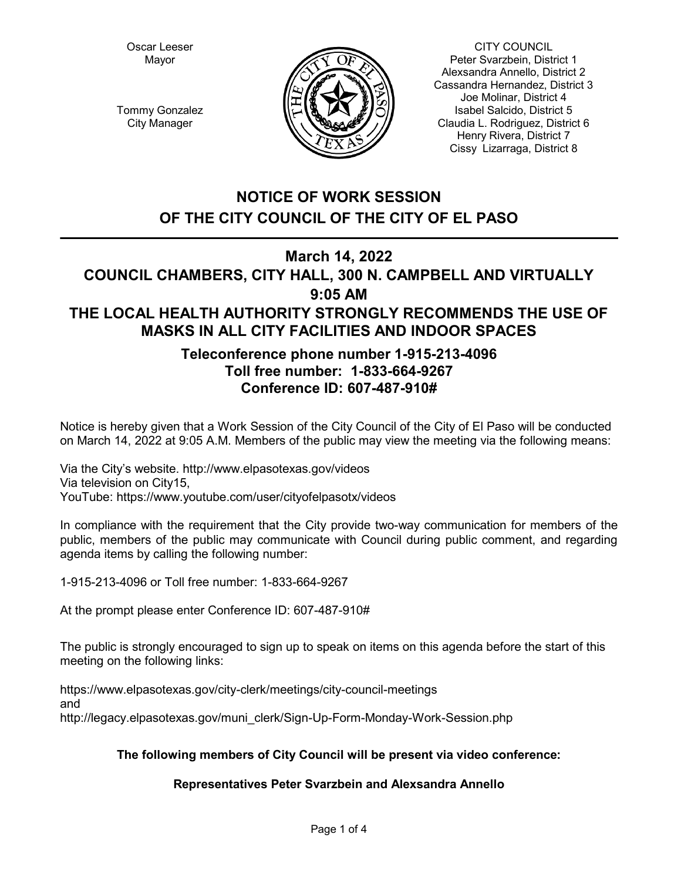Oscar Leeser Mayor



CITY COUNCIL Peter Svarzbein, District 1 Alexsandra Annello, District 2 Cassandra Hernandez, District 3 Joe Molinar, District 4 Isabel Salcido, District 5 Claudia L. Rodriguez, District 6 Henry Rivera, District 7 Cissy Lizarraga, District 8

Tommy Gonzalez City Manager

# **NOTICE OF WORK SESSION OF THE CITY COUNCIL OF THE CITY OF EL PASO**

# **March 14, 2022**

# **COUNCIL CHAMBERS, CITY HALL, 300 N. CAMPBELL AND VIRTUALLY 9:05 AM THE LOCAL HEALTH AUTHORITY STRONGLY RECOMMENDS THE USE OF MASKS IN ALL CITY FACILITIES AND INDOOR SPACES**

## **Teleconference phone number 1-915-213-4096 Toll free number: 1-833-664-9267 Conference ID: 607-487-910#**

Notice is hereby given that a Work Session of the City Council of the City of El Paso will be conducted on March 14, 2022 at 9:05 A.M. Members of the public may view the meeting via the following means:

Via the City's website. http://www.elpasotexas.gov/videos Via television on City15, YouTube: https://www.youtube.com/user/cityofelpasotx/videos

In compliance with the requirement that the City provide two-way communication for members of the public, members of the public may communicate with Council during public comment, and regarding agenda items by calling the following number:

1-915-213-4096 or Toll free number: 1-833-664-9267

At the prompt please enter Conference ID: 607-487-910#

The public is strongly encouraged to sign up to speak on items on this agenda before the start of this meeting on the following links:

https://www.elpasotexas.gov/city-clerk/meetings/city-council-meetings and http://legacy.elpasotexas.gov/muni\_clerk/Sign-Up-Form-Monday-Work-Session.php

## **The following members of City Council will be present via video conference:**

## **Representatives Peter Svarzbein and Alexsandra Annello**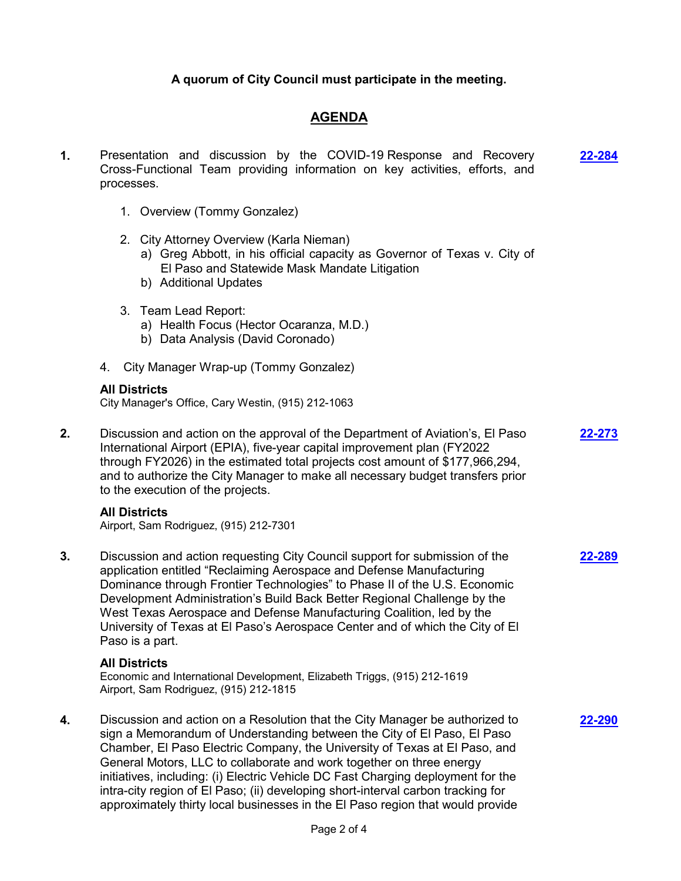### **A quorum of City Council must participate in the meeting.**

## **AGENDA**

- **1.** Presentation and discussion by the COVID-19 Response and Recovery Cross-Functional Team providing information on key activities, efforts, and processes. **[22-284](http://elpasotexas.legistar.com/gateway.aspx?m=l&id=/matter.aspx?key=6748)**
	- 1. Overview (Tommy Gonzalez)
	- 2. City Attorney Overview (Karla Nieman)
		- a) Greg Abbott, in his official capacity as Governor of Texas v. City of El Paso and Statewide Mask Mandate Litigation
		- b) Additional Updates
	- 3. Team Lead Report:
		- a) Health Focus (Hector Ocaranza, M.D.)
		- b) Data Analysis (David Coronado)
	- 4. City Manager Wrap-up (Tommy Gonzalez)

#### **All Districts**

City Manager's Office, Cary Westin, (915) 212-1063

**2.** Discussion and action on the approval of the Department of Aviation's, El Paso International Airport (EPIA), five-year capital improvement plan (FY2022 through FY2026) in the estimated total projects cost amount of \$177,966,294, and to authorize the City Manager to make all necessary budget transfers prior to the execution of the projects. **[22-273](http://elpasotexas.legistar.com/gateway.aspx?m=l&id=/matter.aspx?key=6737)**

#### **All Districts**

Airport, Sam Rodriguez, (915) 212-7301

**3.** Discussion and action requesting City Council support for submission of the application entitled "Reclaiming Aerospace and Defense Manufacturing Dominance through Frontier Technologies" to Phase II of the U.S. Economic Development Administration's Build Back Better Regional Challenge by the West Texas Aerospace and Defense Manufacturing Coalition, led by the University of Texas at El Paso's Aerospace Center and of which the City of El Paso is a part. **[22-289](http://elpasotexas.legistar.com/gateway.aspx?m=l&id=/matter.aspx?key=6753)**

#### **All Districts**

Economic and International Development, Elizabeth Triggs, (915) 212-1619 Airport, Sam Rodriguez, (915) 212-1815

**4.** Discussion and action on a Resolution that the City Manager be authorized to sign a Memorandum of Understanding between the City of El Paso, El Paso Chamber, El Paso Electric Company, the University of Texas at El Paso, and General Motors, LLC to collaborate and work together on three energy initiatives, including: (i) Electric Vehicle DC Fast Charging deployment for the intra-city region of El Paso; (ii) developing short-interval carbon tracking for approximately thirty local businesses in the El Paso region that would provide

**[22-290](http://elpasotexas.legistar.com/gateway.aspx?m=l&id=/matter.aspx?key=6754)**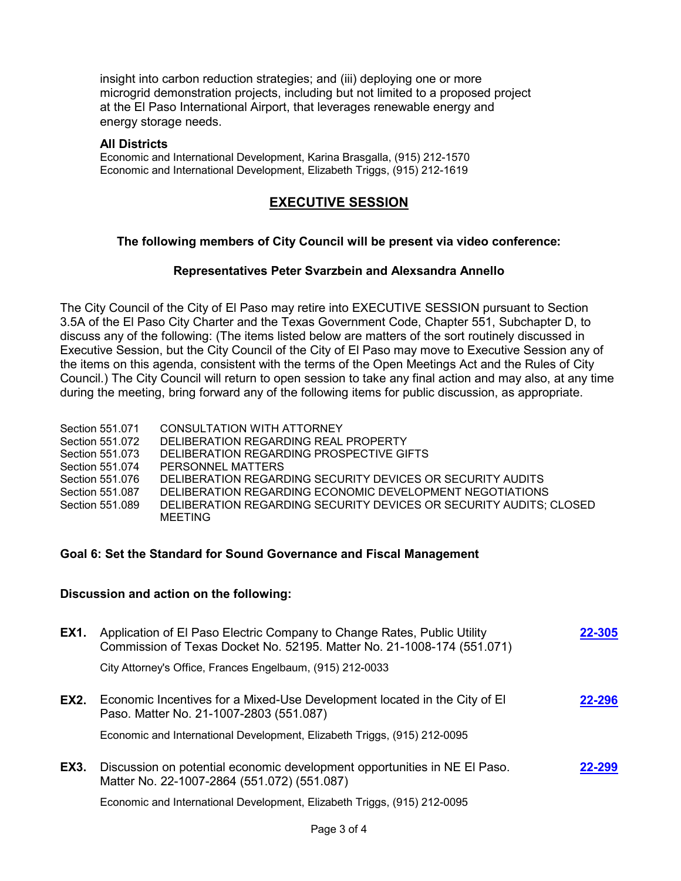insight into carbon reduction strategies; and (iii) deploying one or more microgrid demonstration projects, including but not limited to a proposed project at the El Paso International Airport, that leverages renewable energy and energy storage needs.

#### **All Districts**

Economic and International Development, Karina Brasgalla, (915) 212-1570 Economic and International Development, Elizabeth Triggs, (915) 212-1619

## **EXECUTIVE SESSION**

### **The following members of City Council will be present via video conference:**

#### **Representatives Peter Svarzbein and Alexsandra Annello**

The City Council of the City of El Paso may retire into EXECUTIVE SESSION pursuant to Section 3.5A of the El Paso City Charter and the Texas Government Code, Chapter 551, Subchapter D, to discuss any of the following: (The items listed below are matters of the sort routinely discussed in Executive Session, but the City Council of the City of El Paso may move to Executive Session any of the items on this agenda, consistent with the terms of the Open Meetings Act and the Rules of City Council.) The City Council will return to open session to take any final action and may also, at any time during the meeting, bring forward any of the following items for public discussion, as appropriate.

Section 551.071 CONSULTATION WITH ATTORNEY Section 551.072 DELIBERATION REGARDING REAL PROPERTY Section 551.073 DELIBERATION REGARDING PROSPECTIVE GIFTS Section 551.074 PERSONNEL MATTERS Section 551.076 DELIBERATION REGARDING SECURITY DEVICES OR SECURITY AUDITS Section 551.087 DELIBERATION REGARDING ECONOMIC DEVELOPMENT NEGOTIATIONS Section 551.089 DELIBERATION REGARDING SECURITY DEVICES OR SECURITY AUDITS; CLOSED MEETING

#### **Goal 6: Set the Standard for Sound Governance and Fiscal Management**

#### **Discussion and action on the following:**

| EX1. | Application of El Paso Electric Company to Change Rates, Public Utility<br>Commission of Texas Docket No. 52195. Matter No. 21-1008-174 (551.071) | 22-305 |
|------|---------------------------------------------------------------------------------------------------------------------------------------------------|--------|
|      | City Attorney's Office, Frances Engelbaum, (915) 212-0033                                                                                         |        |
| EX2. | Economic Incentives for a Mixed-Use Development located in the City of El<br>Paso. Matter No. 21-1007-2803 (551.087)                              | 22-296 |
|      | Economic and International Development, Elizabeth Triggs, (915) 212-0095                                                                          |        |
| EX3. | Discussion on potential economic development opportunities in NE EI Paso.<br>Matter No. 22-1007-2864 (551.072) (551.087)                          | 22-299 |
|      | Economic and International Development, Elizabeth Triggs, (915) 212-0095                                                                          |        |